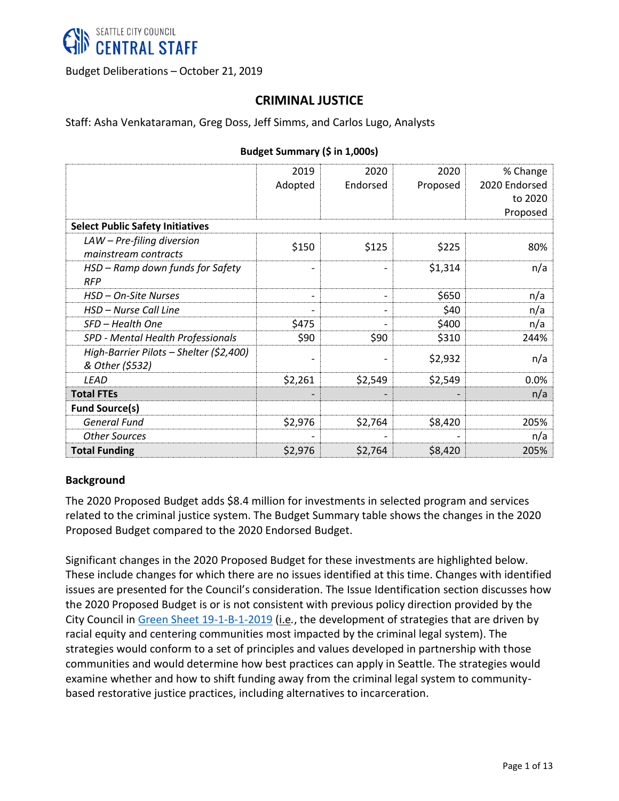

Budget Deliberations – October 21, 2019

# **CRIMINAL JUSTICE**

Staff: Asha Venkataraman, Greg Doss, Jeff Simms, and Carlos Lugo, Analysts

|                                                            | 2019                         | 2020     | 2020     | % Change      |  |  |  |
|------------------------------------------------------------|------------------------------|----------|----------|---------------|--|--|--|
|                                                            | Adopted                      | Endorsed | Proposed | 2020 Endorsed |  |  |  |
|                                                            |                              |          |          | to 2020       |  |  |  |
|                                                            |                              |          |          | Proposed      |  |  |  |
| <b>Select Public Safety Initiatives</b>                    |                              |          |          |               |  |  |  |
| $LAW - Pre-filing$ diversion<br>mainstream contracts       | \$150                        | \$125    | \$225    | 80%           |  |  |  |
| HSD - Ramp down funds for Safety<br><b>RFP</b>             |                              |          | \$1,314  | n/a           |  |  |  |
| HSD - On-Site Nurses                                       | $\qquad \qquad \blacksquare$ |          | \$650    | n/a           |  |  |  |
| HSD – Nurse Call Line                                      |                              |          | \$40     | n/a           |  |  |  |
| SFD - Health One                                           | \$475                        |          | \$400    | n/a           |  |  |  |
| SPD - Mental Health Professionals                          | \$90                         | \$90     | \$310    | 244%          |  |  |  |
| High-Barrier Pilots - Shelter (\$2,400)<br>& Other (\$532) |                              |          | \$2,932  | n/a           |  |  |  |
| <b>LEAD</b>                                                | \$2,261                      | \$2,549  | \$2,549  | 0.0%          |  |  |  |
| <b>Total FTEs</b>                                          |                              |          |          | n/a           |  |  |  |
| <b>Fund Source(s)</b>                                      |                              |          |          |               |  |  |  |
| <b>General Fund</b>                                        | \$2,976                      | \$2,764  | \$8,420  | 205%          |  |  |  |
| <b>Other Sources</b>                                       |                              |          |          | n/a           |  |  |  |
| <b>Total Funding</b>                                       | \$2,976                      | \$2,764  | \$8,420  | 205%          |  |  |  |

#### **Budget Summary (\$ in 1,000s)**

#### **Background**

The 2020 Proposed Budget adds \$8.4 million for investments in selected program and services related to the criminal justice system. The Budget Summary table shows the changes in the 2020 Proposed Budget compared to the 2020 Endorsed Budget.

Significant changes in the 2020 Proposed Budget for these investments are highlighted below. These include changes for which there are no issues identified at this time. Changes with identified issues are presented for the Council's consideration. The Issue Identification section discusses how the 2020 Proposed Budget is or is not consistent with previous policy direction provided by the City Council in Green [Sheet 19-1-B-1-2019](http://www.seattle.gov/Documents/Departments/Council/Committees/Budget/2019-20/19-1-B-1-2019.pdf) (i.e*.*, the development of strategies that are driven by racial equity and centering communities most impacted by the criminal legal system). The strategies would conform to a set of principles and values developed in partnership with those communities and would determine how best practices can apply in Seattle. The strategies would examine whether and how to shift funding away from the criminal legal system to communitybased restorative justice practices, including alternatives to incarceration.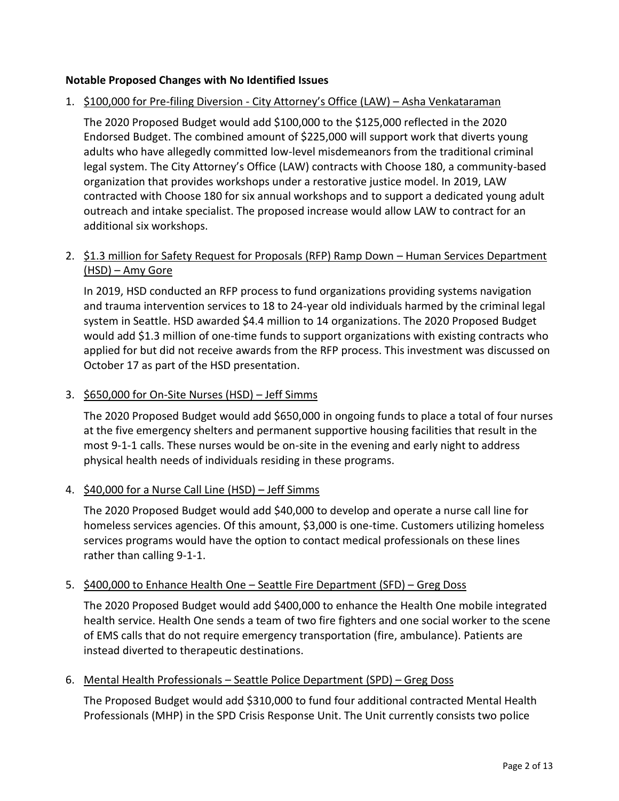#### **Notable Proposed Changes with No Identified Issues**

1. \$100,000 for Pre-filing Diversion - City Attorney's Office (LAW) – Asha Venkataraman

The 2020 Proposed Budget would add \$100,000 to the \$125,000 reflected in the 2020 Endorsed Budget. The combined amount of \$225,000 will support work that diverts young adults who have allegedly committed low-level misdemeanors from the traditional criminal legal system. The City Attorney's Office (LAW) contracts with Choose 180, a community-based organization that provides workshops under a restorative justice model. In 2019, LAW contracted with Choose 180 for six annual workshops and to support a dedicated young adult outreach and intake specialist. The proposed increase would allow LAW to contract for an additional six workshops.

## 2. \$1.3 million for Safety Request for Proposals (RFP) Ramp Down - Human Services Department (HSD) – Amy Gore

In 2019, HSD conducted an RFP process to fund organizations providing systems navigation and trauma intervention services to 18 to 24-year old individuals harmed by the criminal legal system in Seattle. HSD awarded \$4.4 million to 14 organizations. The 2020 Proposed Budget would add \$1.3 million of one-time funds to support organizations with existing contracts who applied for but did not receive awards from the RFP process. This investment was discussed on October 17 as part of the HSD presentation.

### 3. \$650,000 for On-Site Nurses (HSD) – Jeff Simms

The 2020 Proposed Budget would add \$650,000 in ongoing funds to place a total of four nurses at the five emergency shelters and permanent supportive housing facilities that result in the most 9-1-1 calls. These nurses would be on-site in the evening and early night to address physical health needs of individuals residing in these programs.

## 4. \$40,000 for a Nurse Call Line (HSD) – Jeff Simms

The 2020 Proposed Budget would add \$40,000 to develop and operate a nurse call line for homeless services agencies. Of this amount, \$3,000 is one-time. Customers utilizing homeless services programs would have the option to contact medical professionals on these lines rather than calling 9-1-1.

## 5. \$400,000 to Enhance Health One – Seattle Fire Department (SFD) – Greg Doss

The 2020 Proposed Budget would add \$400,000 to enhance the Health One mobile integrated health service. Health One sends a team of two fire fighters and one social worker to the scene of EMS calls that do not require emergency transportation (fire, ambulance). Patients are instead diverted to therapeutic destinations.

#### 6. Mental Health Professionals – Seattle Police Department (SPD) – Greg Doss

The Proposed Budget would add \$310,000 to fund four additional contracted Mental Health Professionals (MHP) in the SPD Crisis Response Unit. The Unit currently consists two police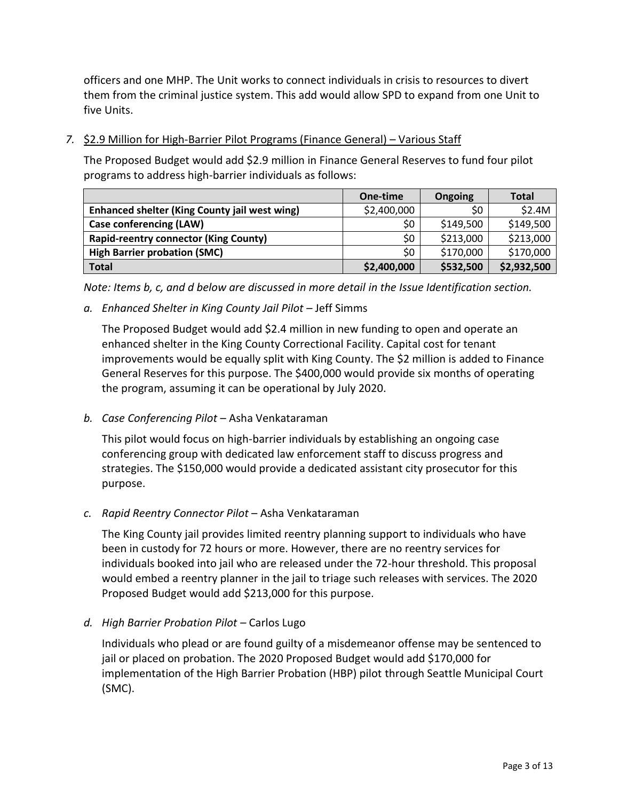officers and one MHP. The Unit works to connect individuals in crisis to resources to divert them from the criminal justice system. This add would allow SPD to expand from one Unit to five Units.

*7.* \$2.9 Million for High-Barrier Pilot Programs (Finance General) – Various Staff

The Proposed Budget would add \$2.9 million in Finance General Reserves to fund four pilot programs to address high-barrier individuals as follows:

|                                               | One-time    | Ongoing   | <b>Total</b> |
|-----------------------------------------------|-------------|-----------|--------------|
| Enhanced shelter (King County jail west wing) | \$2,400,000 | \$0       | \$2.4M       |
| <b>Case conferencing (LAW)</b>                | \$0         | \$149,500 | \$149,500    |
| <b>Rapid-reentry connector (King County)</b>  | \$0         | \$213,000 | \$213,000    |
| <b>High Barrier probation (SMC)</b>           | \$0         | \$170,000 | \$170,000    |
| <b>Total</b>                                  | \$2,400,000 | \$532,500 | \$2,932,500  |

*Note: Items b, c, and d below are discussed in more detail in the Issue Identification section.* 

*a. Enhanced Shelter in King County Jail Pilot –* Jeff Simms

The Proposed Budget would add \$2.4 million in new funding to open and operate an enhanced shelter in the King County Correctional Facility. Capital cost for tenant improvements would be equally split with King County. The \$2 million is added to Finance General Reserves for this purpose. The \$400,000 would provide six months of operating the program, assuming it can be operational by July 2020.

*b. Case Conferencing Pilot* – Asha Venkataraman

This pilot would focus on high-barrier individuals by establishing an ongoing case conferencing group with dedicated law enforcement staff to discuss progress and strategies. The \$150,000 would provide a dedicated assistant city prosecutor for this purpose.

*c. Rapid Reentry Connector Pilot* – Asha Venkataraman

The King County jail provides limited reentry planning support to individuals who have been in custody for 72 hours or more. However, there are no reentry services for individuals booked into jail who are released under the 72-hour threshold. This proposal would embed a reentry planner in the jail to triage such releases with services. The 2020 Proposed Budget would add \$213,000 for this purpose.

*d. High Barrier Probation Pilot –* Carlos Lugo

Individuals who plead or are found guilty of a misdemeanor offense may be sentenced to jail or placed on probation. The 2020 Proposed Budget would add \$170,000 for implementation of the High Barrier Probation (HBP) pilot through Seattle Municipal Court (SMC).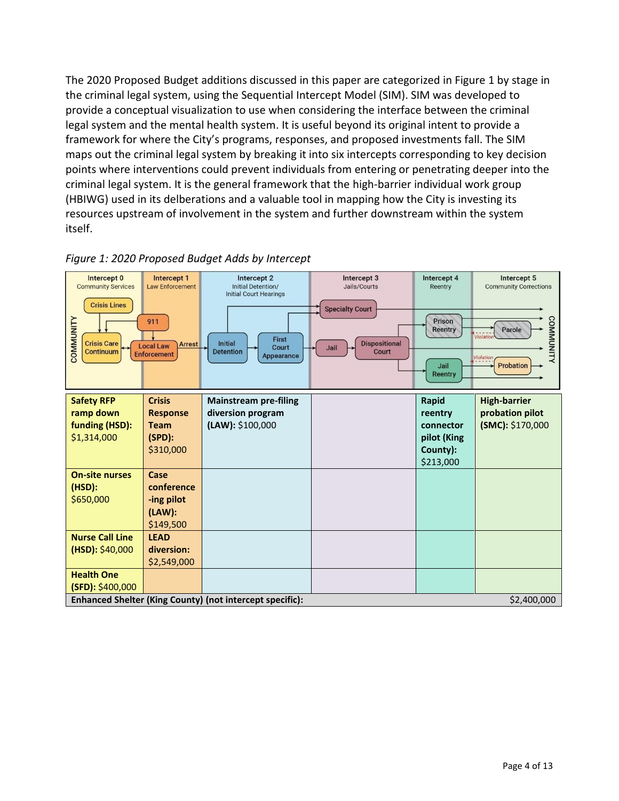The 2020 Proposed Budget additions discussed in this paper are categorized in Figure 1 by stage in the criminal legal system, using the Sequential Intercept Model (SIM). SIM was developed to provide a conceptual visualization to use when considering the interface between the criminal legal system and the mental health system. It is useful beyond its original intent to provide a framework for where the City's programs, responses, and proposed investments fall. The SIM maps out the criminal legal system by breaking it into six intercepts corresponding to key decision points where interventions could prevent individuals from entering or penetrating deeper into the criminal legal system. It is the general framework that the high-barrier individual work group (HBIWG) used in its delberations and a valuable tool in mapping how the City is investing its resources upstream of involvement in the system and further downstream within the system itself.



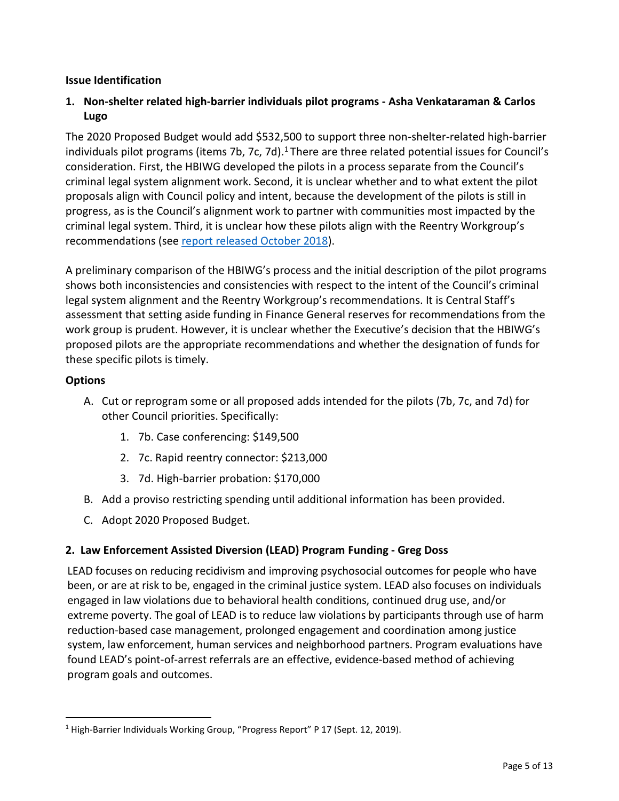### **Issue Identification**

### **1. Non-shelter related high-barrier individuals pilot programs - Asha Venkataraman & Carlos Lugo**

The 2020 Proposed Budget would add \$532,500 to support three non-shelter-related high-barrier individuals pilot programs (items 7b, 7c, 7d).<sup>1</sup> There are three related potential issues for Council's consideration. First, the HBIWG developed the pilots in a process separate from the Council's criminal legal system alignment work. Second, it is unclear whether and to what extent the pilot proposals align with Council policy and intent, because the development of the pilots is still in progress, as is the Council's alignment work to partner with communities most impacted by the criminal legal system. Third, it is unclear how these pilots align with the Reentry Workgroup's recommendations (se[e report released October 2018\)](http://www.seattle.gov/Documents/Departments/CivilRights/Reentry%20Workgroup%20Final%20Report.pdf).

A preliminary comparison of the HBIWG's process and the initial description of the pilot programs shows both inconsistencies and consistencies with respect to the intent of the Council's criminal legal system alignment and the Reentry Workgroup's recommendations. It is Central Staff's assessment that setting aside funding in Finance General reserves for recommendations from the work group is prudent. However, it is unclear whether the Executive's decision that the HBIWG's proposed pilots are the appropriate recommendations and whether the designation of funds for these specific pilots is timely.

### **Options**

- A. Cut or reprogram some or all proposed adds intended for the pilots (7b, 7c, and 7d) for other Council priorities. Specifically:
	- 1. 7b. Case conferencing: \$149,500
	- 2. 7c. Rapid reentry connector: \$213,000
	- 3. 7d. High-barrier probation: \$170,000
- B. Add a proviso restricting spending until additional information has been provided.
- C. Adopt 2020 Proposed Budget.

## **2. Law Enforcement Assisted Diversion (LEAD) Program Funding - Greg Doss**

LEAD focuses on reducing recidivism and improving psychosocial outcomes for people who have been, or are at risk to be, engaged in the criminal justice system. LEAD also focuses on individuals engaged in law violations due to behavioral health conditions, continued drug use, and/or extreme poverty. The goal of LEAD is to reduce law violations by participants through use of harm reduction-based case management, prolonged engagement and coordination among justice system, law enforcement, human services and neighborhood partners. Program evaluations have found LEAD's point-of-arrest referrals are an effective, evidence-based method of achieving program goals and outcomes.

 $\overline{a}$ <sup>1</sup> High-Barrier Individuals Working Group, "Progress Report" P 17 (Sept. 12, 2019).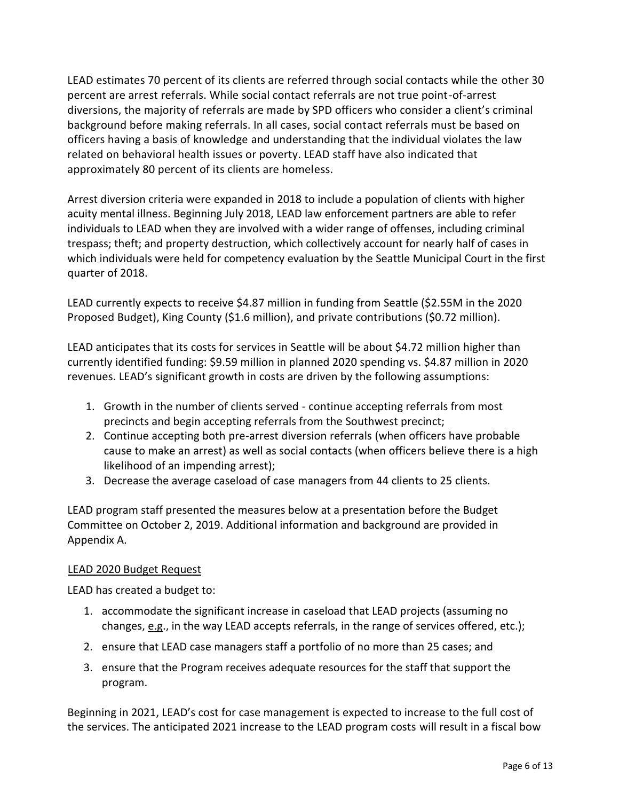LEAD estimates 70 percent of its clients are referred through social contacts while the other 30 percent are arrest referrals. While social contact referrals are not true point-of-arrest diversions, the majority of referrals are made by SPD officers who consider a client's criminal background before making referrals. In all cases, social contact referrals must be based on officers having a basis of knowledge and understanding that the individual violates the law related on behavioral health issues or poverty. LEAD staff have also indicated that approximately 80 percent of its clients are homeless.

Arrest diversion criteria were expanded in 2018 to include a population of clients with higher acuity mental illness. Beginning July 2018, LEAD law enforcement partners are able to refer individuals to LEAD when they are involved with a wider range of offenses, including criminal trespass; theft; and property destruction, which collectively account for nearly half of cases in which individuals were held for competency evaluation by the Seattle Municipal Court in the first quarter of 2018.

LEAD currently expects to receive \$4.87 million in funding from Seattle (\$2.55M in the 2020 Proposed Budget), King County (\$1.6 million), and private contributions (\$0.72 million).

LEAD anticipates that its costs for services in Seattle will be about \$4.72 million higher than currently identified funding: \$9.59 million in planned 2020 spending vs. \$4.87 million in 2020 revenues. LEAD's significant growth in costs are driven by the following assumptions:

- 1. Growth in the number of clients served continue accepting referrals from most precincts and begin accepting referrals from the Southwest precinct;
- 2. Continue accepting both pre-arrest diversion referrals (when officers have probable cause to make an arrest) as well as social contacts (when officers believe there is a high likelihood of an impending arrest);
- 3. Decrease the average caseload of case managers from 44 clients to 25 clients.

LEAD program staff presented the measures below at a presentation before the Budget Committee on October 2, 2019. Additional information and background are provided in Appendix A.

#### LEAD 2020 Budget Request

LEAD has created a budget to:

- 1. accommodate the significant increase in caseload that LEAD projects (assuming no changes,  $e.g.,$  in the way LEAD accepts referrals, in the range of services offered, etc.);
- 2. ensure that LEAD case managers staff a portfolio of no more than 25 cases; and
- 3. ensure that the Program receives adequate resources for the staff that support the program.

Beginning in 2021, LEAD's cost for case management is expected to increase to the full cost of the services. The anticipated 2021 increase to the LEAD program costs will result in a fiscal bow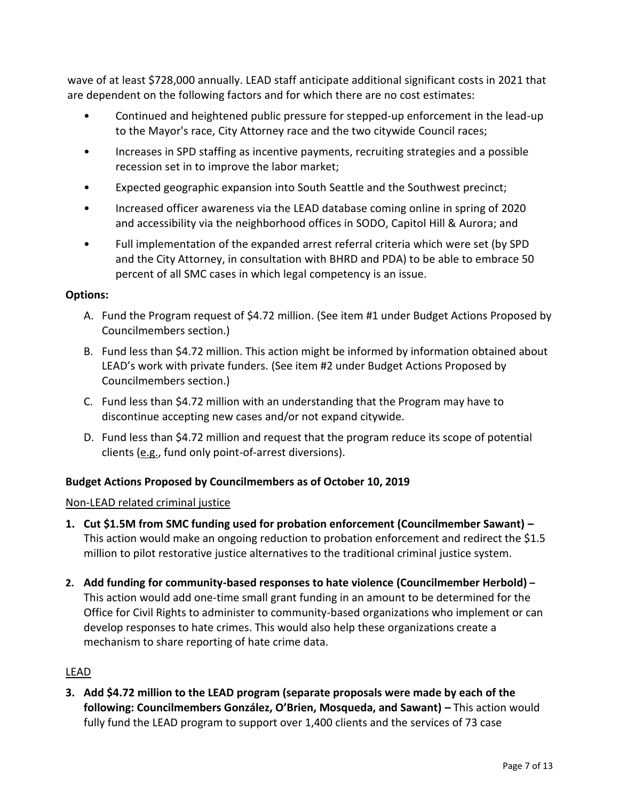wave of at least \$728,000 annually. LEAD staff anticipate additional significant costs in 2021 that are dependent on the following factors and for which there are no cost estimates:

- Continued and heightened public pressure for stepped-up enforcement in the lead-up to the Mayor's race, City Attorney race and the two citywide Council races;
- Increases in SPD staffing as incentive payments, recruiting strategies and a possible recession set in to improve the labor market;
- Expected geographic expansion into South Seattle and the Southwest precinct;
- Increased officer awareness via the LEAD database coming online in spring of 2020 and accessibility via the neighborhood offices in SODO, Capitol Hill & Aurora; and
- Full implementation of the expanded arrest referral criteria which were set (by SPD and the City Attorney, in consultation with BHRD and PDA) to be able to embrace 50 percent of all SMC cases in which legal competency is an issue.

## **Options:**

- A. Fund the Program request of \$4.72 million. (See item #1 under Budget Actions Proposed by Councilmembers section.)
- B. Fund less than \$4.72 million. This action might be informed by information obtained about LEAD's work with private funders. (See item #2 under Budget Actions Proposed by Councilmembers section.)
- C. Fund less than \$4.72 million with an understanding that the Program may have to discontinue accepting new cases and/or not expand citywide.
- D. Fund less than \$4.72 million and request that the program reduce its scope of potential clients (e.g., fund only point-of-arrest diversions).

# **Budget Actions Proposed by Councilmembers as of October 10, 2019**

## Non-LEAD related criminal justice

- **1. Cut \$1.5M from SMC funding used for probation enforcement (Councilmember Sawant) –** This action would make an ongoing reduction to probation enforcement and redirect the \$1.5 million to pilot restorative justice alternatives to the traditional criminal justice system.
- **2. Add funding for community-based responses to hate violence (Councilmember Herbold) –** This action would add one-time small grant funding in an amount to be determined for the Office for Civil Rights to administer to community-based organizations who implement or can develop responses to hate crimes. This would also help these organizations create a mechanism to share reporting of hate crime data.

# LEAD

**3. Add \$4.72 million to the LEAD program (separate proposals were made by each of the following: Councilmembers González, O'Brien, Mosqueda, and Sawant) –** This action would fully fund the LEAD program to support over 1,400 clients and the services of 73 case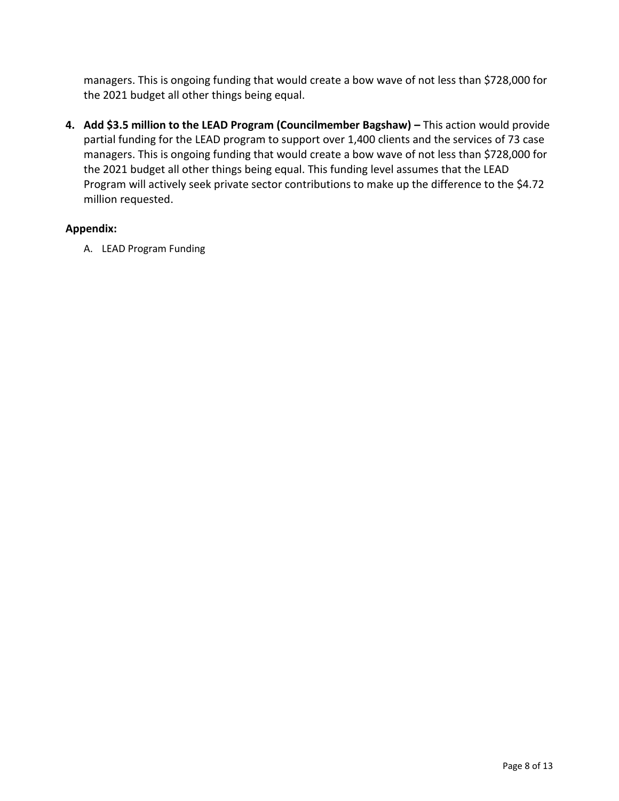managers. This is ongoing funding that would create a bow wave of not less than \$728,000 for the 2021 budget all other things being equal.

**4. Add \$3.5 million to the LEAD Program (Councilmember Bagshaw) –** This action would provide partial funding for the LEAD program to support over 1,400 clients and the services of 73 case managers. This is ongoing funding that would create a bow wave of not less than \$728,000 for the 2021 budget all other things being equal. This funding level assumes that the LEAD Program will actively seek private sector contributions to make up the difference to the \$4.72 million requested.

## **Appendix:**

A. LEAD Program Funding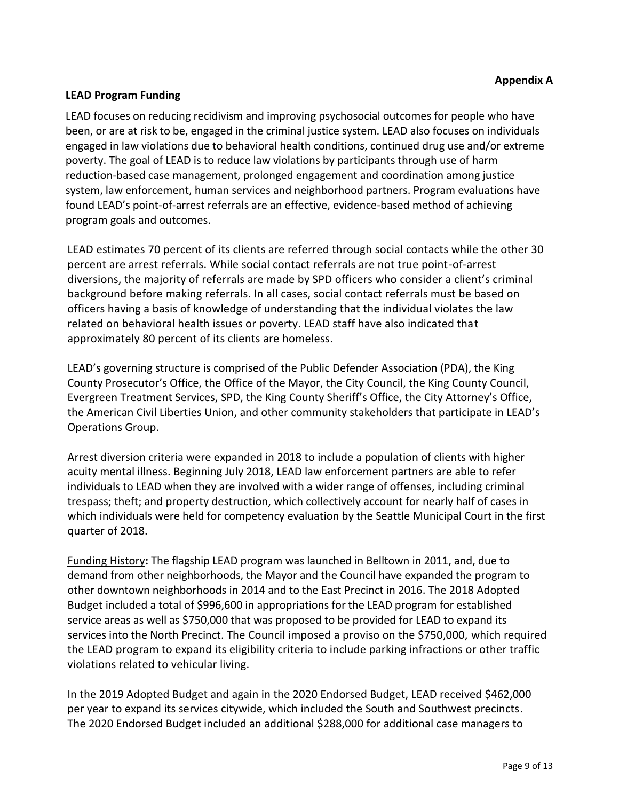#### **LEAD Program Funding**

LEAD focuses on reducing recidivism and improving psychosocial outcomes for people who have been, or are at risk to be, engaged in the criminal justice system. LEAD also focuses on individuals engaged in law violations due to behavioral health conditions, continued drug use and/or extreme poverty. The goal of LEAD is to reduce law violations by participants through use of harm reduction-based case management, prolonged engagement and coordination among justice system, law enforcement, human services and neighborhood partners. Program evaluations have found LEAD's point-of-arrest referrals are an effective, evidence-based method of achieving program goals and outcomes.

LEAD estimates 70 percent of its clients are referred through social contacts while the other 30 percent are arrest referrals. While social contact referrals are not true point-of-arrest diversions, the majority of referrals are made by SPD officers who consider a client's criminal background before making referrals. In all cases, social contact referrals must be based on officers having a basis of knowledge of understanding that the individual violates the law related on behavioral health issues or poverty. LEAD staff have also indicated that approximately 80 percent of its clients are homeless.

LEAD's governing structure is comprised of the Public Defender Association (PDA), the King County Prosecutor's Office, the Office of the Mayor, the City Council, the King County Council, Evergreen Treatment Services, SPD, the King County Sheriff's Office, the City Attorney's Office, the American Civil Liberties Union, and other community stakeholders that participate in LEAD's Operations Group.

Arrest diversion criteria were expanded in 2018 to include a population of clients with higher acuity mental illness. Beginning July 2018, LEAD law enforcement partners are able to refer individuals to LEAD when they are involved with a wider range of offenses, including criminal trespass; theft; and property destruction, which collectively account for nearly half of cases in which individuals were held for competency evaluation by the Seattle Municipal Court in the first quarter of 2018.

Funding History**:** The flagship LEAD program was launched in Belltown in 2011, and, due to demand from other neighborhoods, the Mayor and the Council have expanded the program to other downtown neighborhoods in 2014 and to the East Precinct in 2016. The 2018 Adopted Budget included a total of \$996,600 in appropriations for the LEAD program for established service areas as well as \$750,000 that was proposed to be provided for LEAD to expand its services into the North Precinct. The Council imposed a proviso on the \$750,000, which required the LEAD program to expand its eligibility criteria to include parking infractions or other traffic violations related to vehicular living.

In the 2019 Adopted Budget and again in the 2020 Endorsed Budget, LEAD received \$462,000 per year to expand its services citywide, which included the South and Southwest precincts. The 2020 Endorsed Budget included an additional \$288,000 for additional case managers to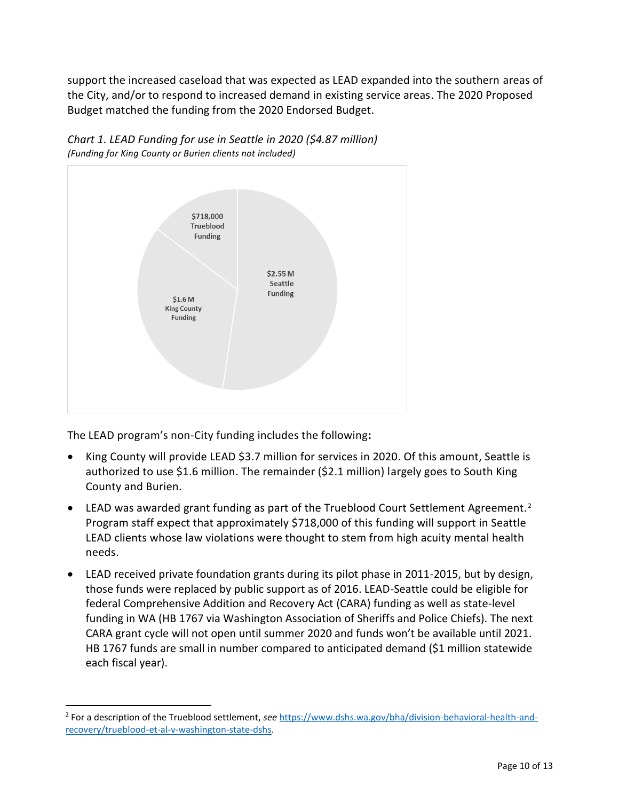support the increased caseload that was expected as LEAD expanded into the southern areas of the City, and/or to respond to increased demand in existing service areas. The 2020 Proposed Budget matched the funding from the 2020 Endorsed Budget.





The LEAD program's non-City funding includes the following**:**

 $\overline{a}$ 

- King County will provide LEAD \$3.7 million for services in 2020. Of this amount, Seattle is authorized to use \$1.6 million. The remainder (\$2.1 million) largely goes to South King County and Burien.
- LEAD was awarded grant funding as part of the Trueblood Court Settlement Agreement.<sup>2</sup> Program staff expect that approximately \$718,000 of this funding will support in Seattle LEAD clients whose law violations were thought to stem from high acuity mental health needs.
- LEAD received private foundation grants during its pilot phase in 2011-2015, but by design, those funds were replaced by public support as of 2016. LEAD-Seattle could be eligible for federal Comprehensive Addition and Recovery Act (CARA) funding as well as state-level funding in WA (HB 1767 via Washington Association of Sheriffs and Police Chiefs). The next CARA grant cycle will not open until summer 2020 and funds won't be available until 2021. HB 1767 funds are small in number compared to anticipated demand (\$1 million statewide each fiscal year).

<sup>2</sup> For a description of the Trueblood settlement, *see* [https://www.dshs.wa.gov/bha/division-behavioral-health-and](https://www.dshs.wa.gov/bha/division-behavioral-health-and-recovery/trueblood-et-al-v-washington-state-dshs)[recovery/trueblood-et-al-v-washington-state-dshs.](https://www.dshs.wa.gov/bha/division-behavioral-health-and-recovery/trueblood-et-al-v-washington-state-dshs)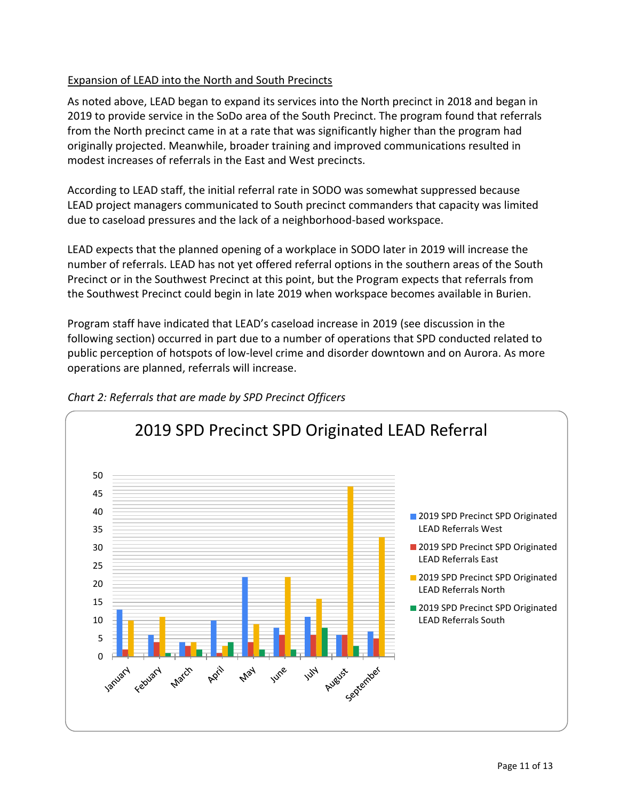## Expansion of LEAD into the North and South Precincts

As noted above, LEAD began to expand its services into the North precinct in 2018 and began in 2019 to provide service in the SoDo area of the South Precinct. The program found that referrals from the North precinct came in at a rate that was significantly higher than the program had originally projected. Meanwhile, broader training and improved communications resulted in modest increases of referrals in the East and West precincts.

According to LEAD staff, the initial referral rate in SODO was somewhat suppressed because LEAD project managers communicated to South precinct commanders that capacity was limited due to caseload pressures and the lack of a neighborhood-based workspace.

LEAD expects that the planned opening of a workplace in SODO later in 2019 will increase the number of referrals. LEAD has not yet offered referral options in the southern areas of the South Precinct or in the Southwest Precinct at this point, but the Program expects that referrals from the Southwest Precinct could begin in late 2019 when workspace becomes available in Burien.

Program staff have indicated that LEAD's caseload increase in 2019 (see discussion in the following section) occurred in part due to a number of operations that SPD conducted related to public perception of hotspots of low-level crime and disorder downtown and on Aurora. As more operations are planned, referrals will increase.



## *Chart 2: Referrals that are made by SPD Precinct Officers*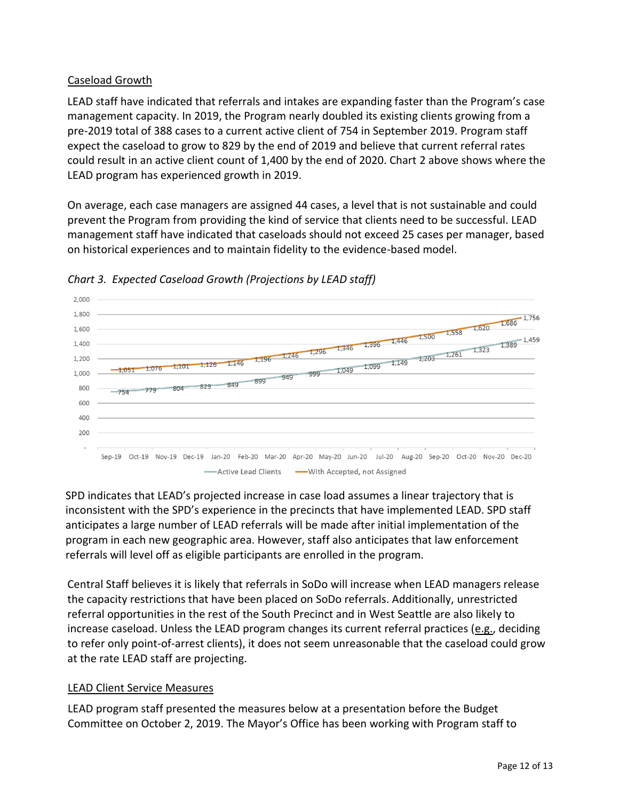## Caseload Growth

LEAD staff have indicated that referrals and intakes are expanding faster than the Program's case management capacity. In 2019, the Program nearly doubled its existing clients growing from a pre-2019 total of 388 cases to a current active client of 754 in September 2019. Program staff expect the caseload to grow to 829 by the end of 2019 and believe that current referral rates could result in an active client count of 1,400 by the end of 2020. Chart 2 above shows where the LEAD program has experienced growth in 2019.

On average, each case managers are assigned 44 cases, a level that is not sustainable and could prevent the Program from providing the kind of service that clients need to be successful. LEAD management staff have indicated that caseloads should not exceed 25 cases per manager, based on historical experiences and to maintain fidelity to the evidence-based model.



## *Chart 3. Expected Caseload Growth (Projections by LEAD staff)*

SPD indicates that LEAD's projected increase in case load assumes a linear trajectory that is inconsistent with the SPD's experience in the precincts that have implemented LEAD. SPD staff anticipates a large number of LEAD referrals will be made after initial implementation of the program in each new geographic area. However, staff also anticipates that law enforcement referrals will level off as eligible participants are enrolled in the program.

Central Staff believes it is likely that referrals in SoDo will increase when LEAD managers release the capacity restrictions that have been placed on SoDo referrals. Additionally, unrestricted referral opportunities in the rest of the South Precinct and in West Seattle are also likely to increase caseload. Unless the LEAD program changes its current referral practices (e.g., deciding to refer only point-of-arrest clients), it does not seem unreasonable that the caseload could grow at the rate LEAD staff are projecting.

## LEAD Client Service Measures

LEAD program staff presented the measures below at a presentation before the Budget Committee on October 2, 2019. The Mayor's Office has been working with Program staff to